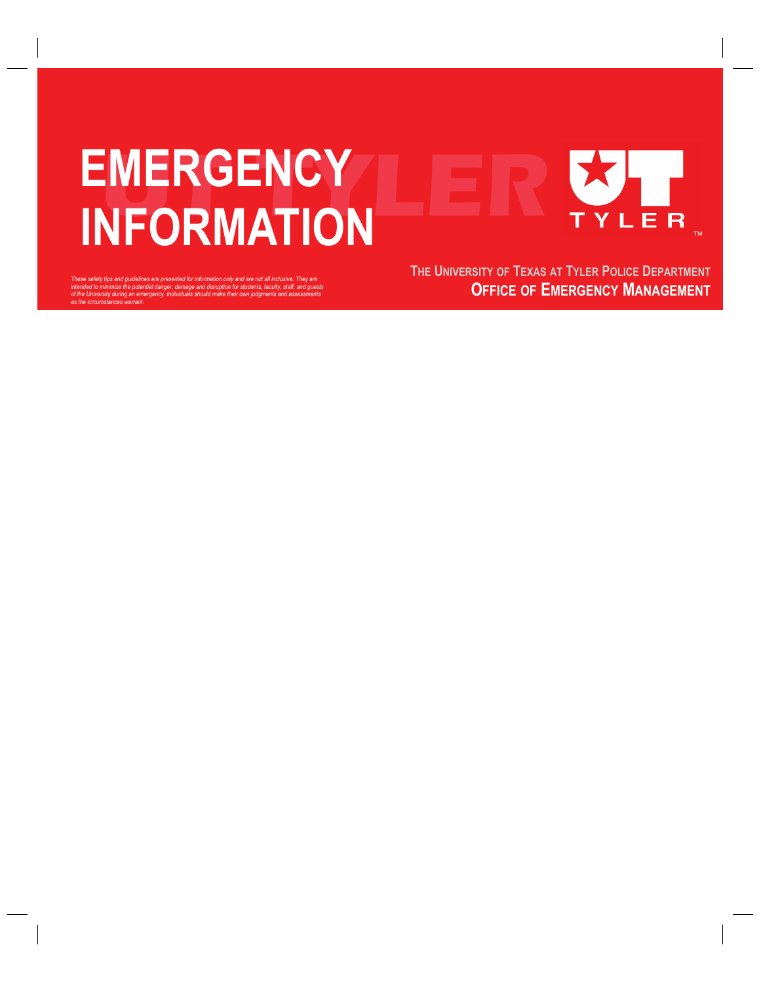# **EMERGENCY INFORMATION** YLER

These safety tips and guidelines are presented for information only and are not all inclusive. They are<br>intended to minimize the potential danger, damage and disruption for students, faculty, staff, and guests<br>of the Unive

**THE UNIVERSITY OF TEXAS AT TYLER POLICE DEPARTMENT OFFICE OF EMERGENCY MANAGEMENT**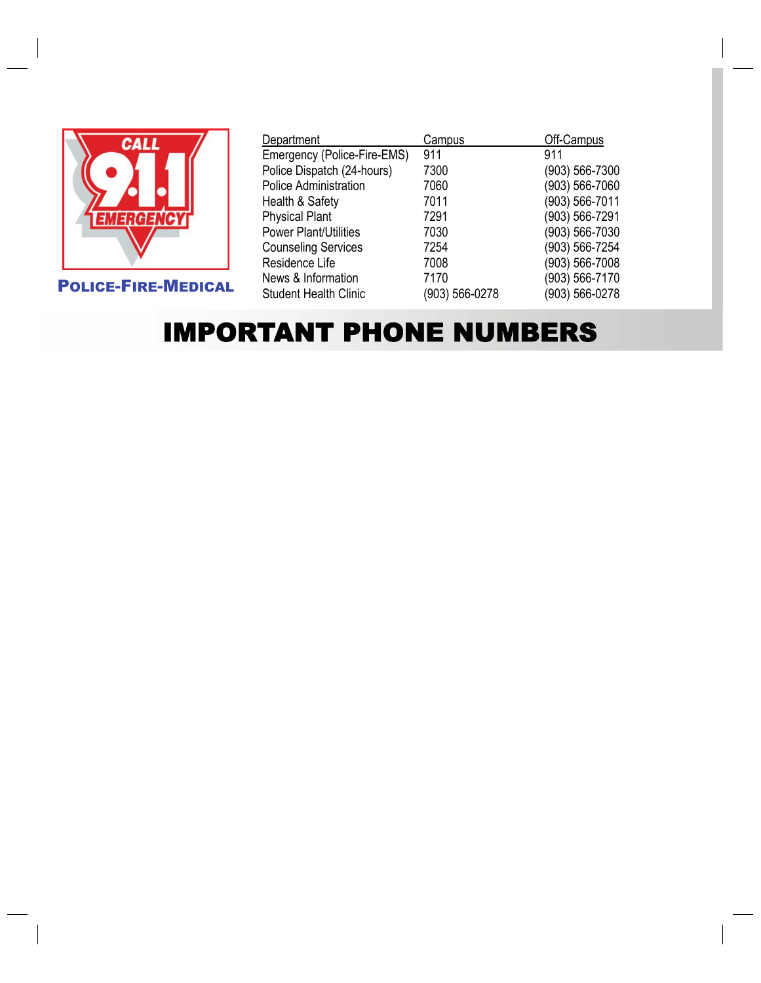

POLICE-FIRE-MEDICAL

| Department                   | Campus         | Off-Campus     |
|------------------------------|----------------|----------------|
| Emergency (Police-Fire-EMS)  | 911            | 911            |
| Police Dispatch (24-hours)   | 7300           | (903) 566-7300 |
| <b>Police Administration</b> | 7060           | (903) 566-7060 |
| Health & Safety              | 7011           | (903) 566-7011 |
| <b>Physical Plant</b>        | 7291           | (903) 566-7291 |
| <b>Power Plant/Utilities</b> | 7030           | (903) 566-7030 |
| <b>Counseling Services</b>   | 7254           | (903) 566-7254 |
| Residence Life               | 7008           | (903) 566-7008 |
| News & Information           | 7170           | (903) 566-7170 |
| <b>Student Health Clinic</b> | (903) 566-0278 | (903) 566-0278 |

### IMPORTANT PHONE NUMBERS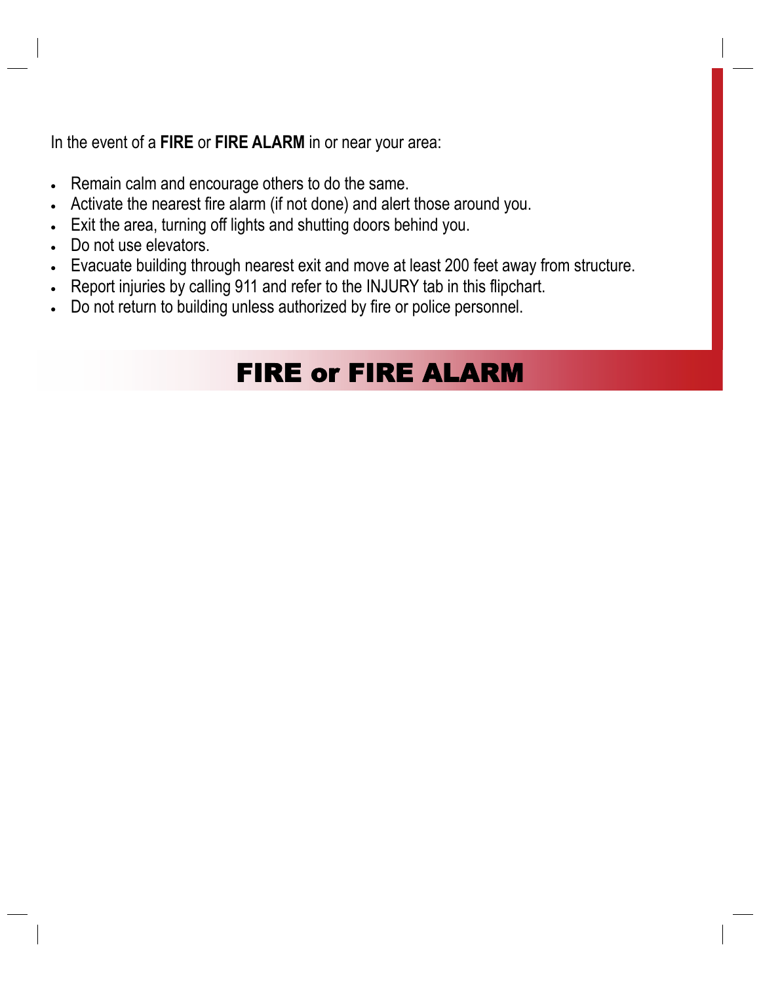In the event of a **FIRE** or **FIRE ALARM** in or near your area:

- Remain calm and encourage others to do the same.
- Activate the nearest fire alarm (if not done) and alert those around you.
- Exit the area, turning off lights and shutting doors behind you.
- Do not use elevators.
- Evacuate building through nearest exit and move at least 200 feet away from structure.
- Report injuries by calling 911 and refer to the INJURY tab in this flipchart.
- Do not return to building unless authorized by fire or police personnel.

### FIRE or FIRE ALARM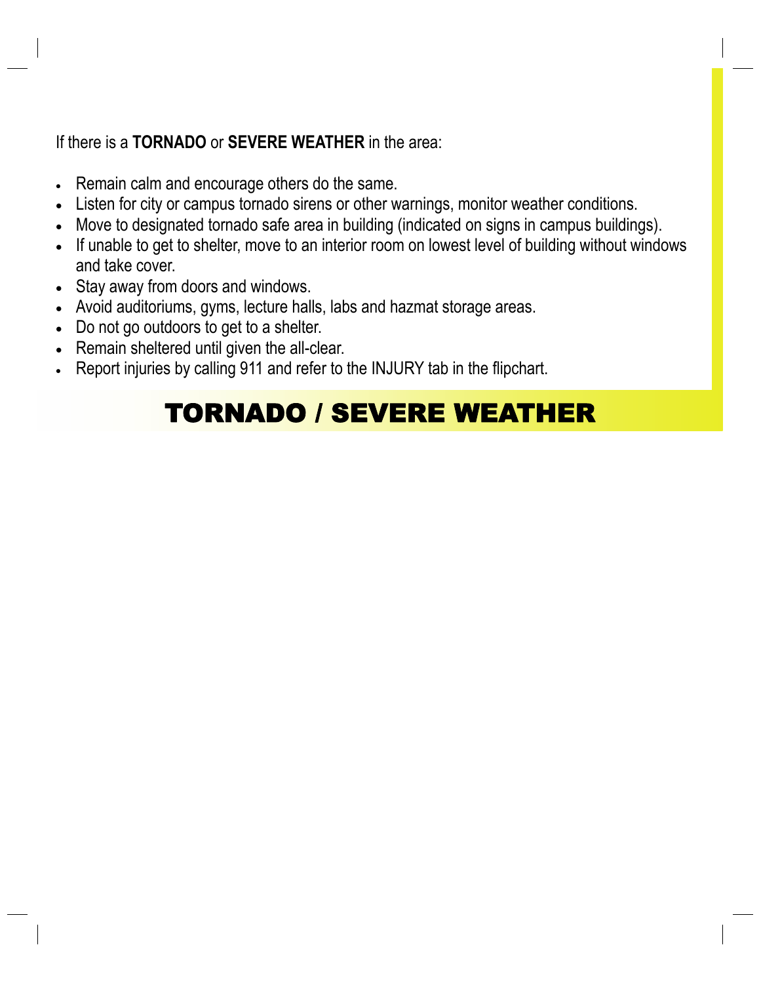#### If there is a **TORNADO** or **SEVERE WEATHER** in the area:

- Remain calm and encourage others do the same.
- Listen for city or campus tornado sirens or other warnings, monitor weather conditions.
- Move to designated tornado safe area in building (indicated on signs in campus buildings).
- If unable to get to shelter, move to an interior room on lowest level of building without windows and take cover.
- Stay away from doors and windows.
- Avoid auditoriums, gyms, lecture halls, labs and hazmat storage areas.
- Do not go outdoors to get to a shelter.
- Remain sheltered until given the all-clear.
- Report injuries by calling 911 and refer to the INJURY tab in the flipchart.

### TORNADO / SEVERE WEATHER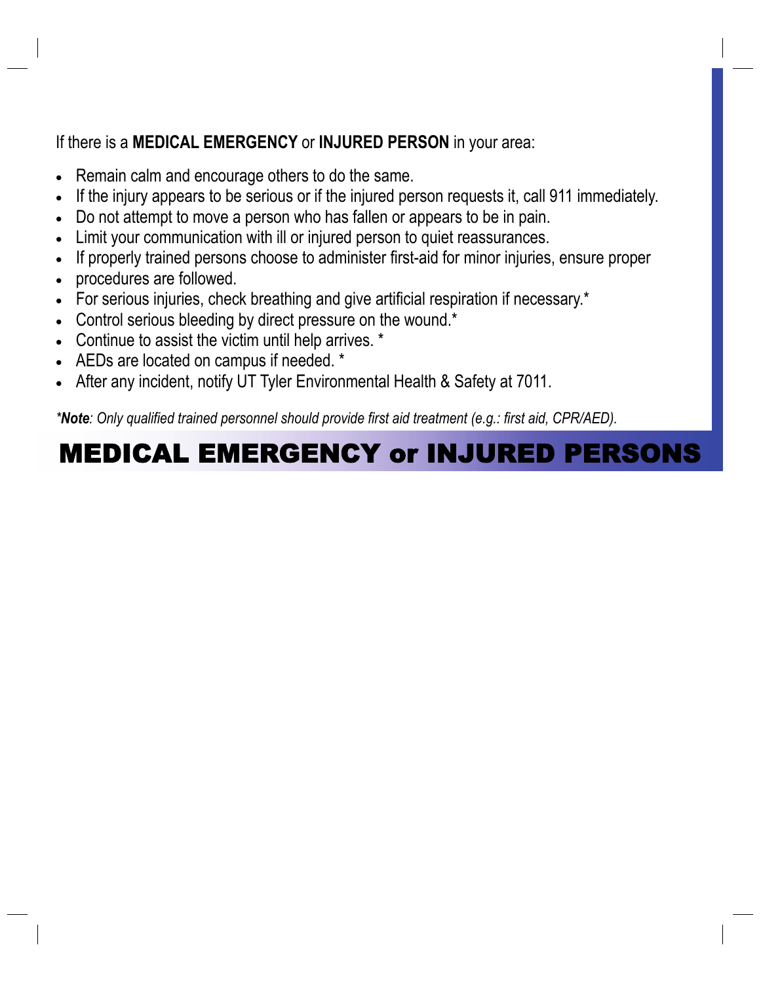#### If there is a **MEDICAL EMERGENCY** or **INJURED PERSON** in your area:

- Remain calm and encourage others to do the same.
- If the injury appears to be serious or if the injured person requests it, call 911 immediately.
- Do not attempt to move a person who has fallen or appears to be in pain.
- Limit your communication with ill or injured person to quiet reassurances.
- If properly trained persons choose to administer first-aid for minor injuries, ensure proper
- procedures are followed.
- For serious injuries, check breathing and give artificial respiration if necessary.\*
- Control serious bleeding by direct pressure on the wound.\*
- Continue to assist the victim until help arrives. \*
- AEDs are located on campus if needed. \*
- After any incident, notify UT Tyler Environmental Health & Safety at 7011.

*\*Note: Only qualified trained personnel should provide first aid treatment (e.g.: first aid, CPR/AED).*

### MEDICAL EMERGENCY or INJURED PERSONS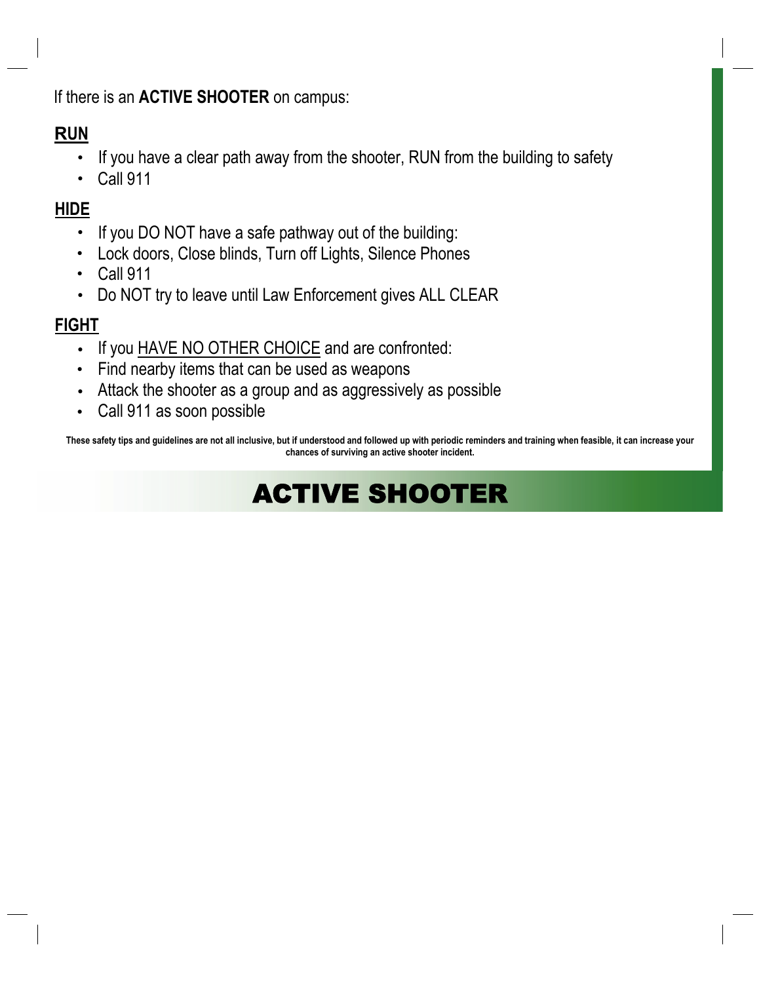If there is an **ACTIVE SHOOTER** on campus:

#### **RUN**

- If you have a clear path away from the shooter, RUN from the building to safety
- Call 911

#### **HIDE**

- If you DO NOT have a safe pathway out of the building:
- Lock doors, Close blinds, Turn off Lights, Silence Phones •
- Call 911
- Do NOT try to leave until Law Enforcement gives ALL CLEAR

#### **FIGHT**

- If you HAVE NO OTHER CHOICE and are confronted:
- Find nearby items that can be used as weapons
- Attack the shooter as a group and as aggressively as possible
- Call 911 as soon possible

**These safety tips and guidelines are not all inclusive, but if understood and followed up with periodic reminders and training when feasible, it can increase your chances of surviving an active shooter incident.**

### ACTIVE SHOOTER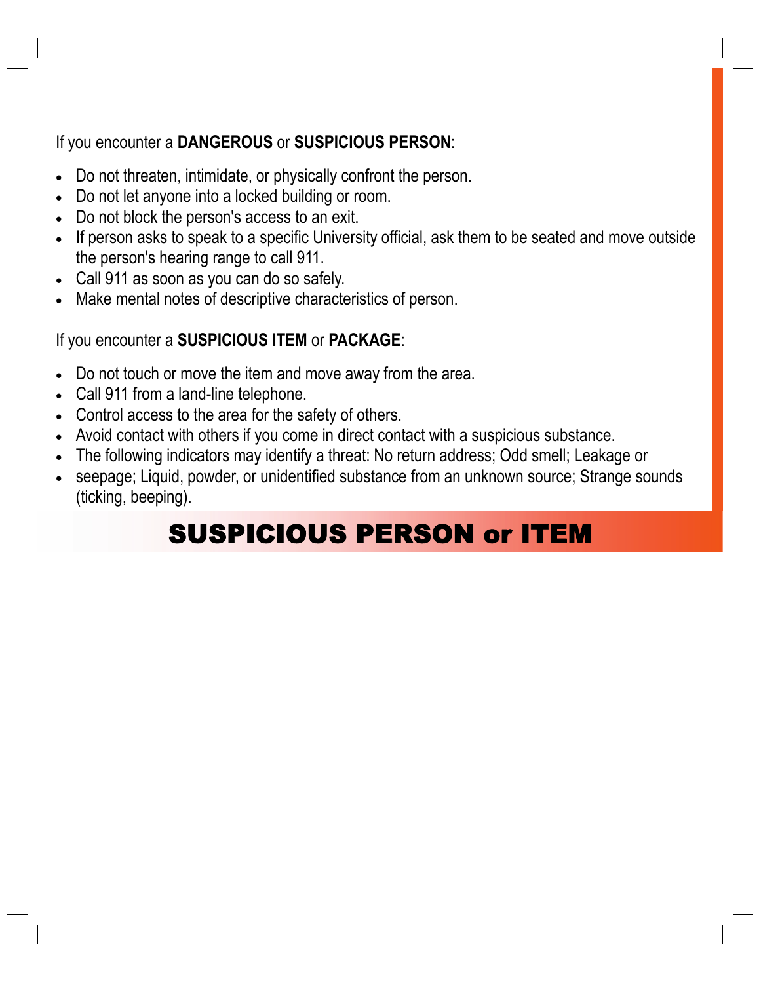#### If you encounter a **DANGEROUS** or **SUSPICIOUS PERSON**:

- Do not threaten, intimidate, or physically confront the person.
- Do not let anyone into a locked building or room.
- Do not block the person's access to an exit.
- If person asks to speak to a specific University official, ask them to be seated and move outside the person's hearing range to call 911.
- Call 911 as soon as you can do so safely.
- Make mental notes of descriptive characteristics of person.

#### If you encounter a **SUSPICIOUS ITEM** or **PACKAGE**:

- Do not touch or move the item and move away from the area.
- Call 911 from a land-line telephone.
- Control access to the area for the safety of others.
- Avoid contact with others if you come in direct contact with a suspicious substance.
- The following indicators may identify a threat: No return address; Odd smell; Leakage or
- seepage; Liquid, powder, or unidentified substance from an unknown source; Strange sounds (ticking, beeping).

### SUSPICIOUS PERSON or ITEM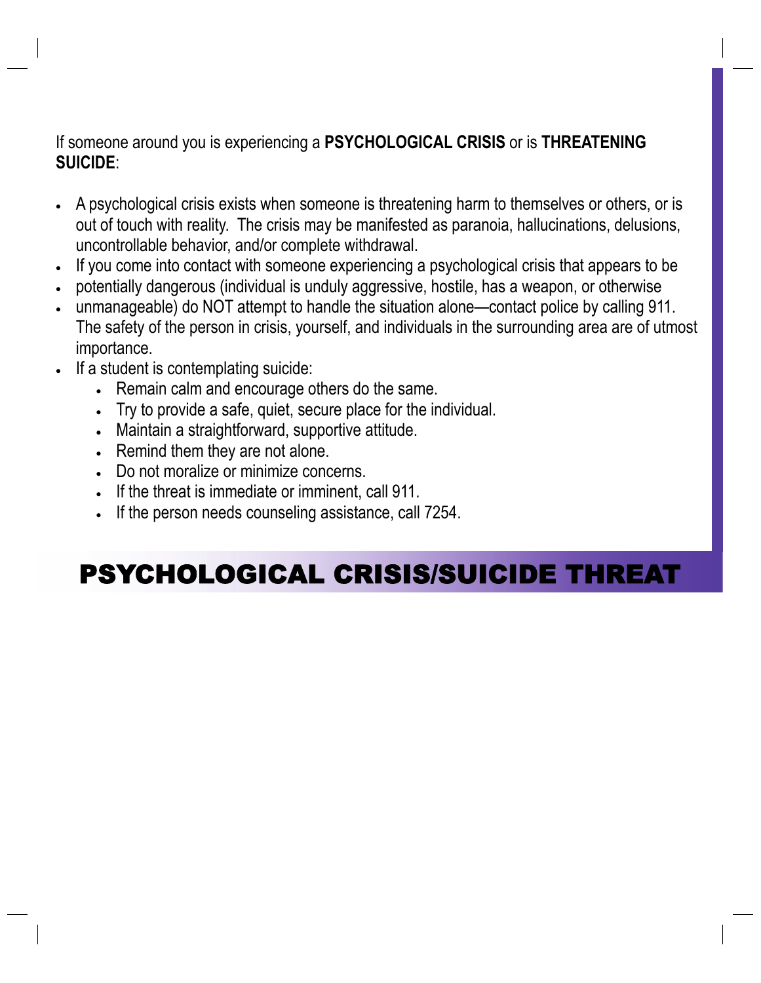If someone around you is experiencing a **PSYCHOLOGICAL CRISIS** or is **THREATENING SUICIDE**:

- A psychological crisis exists when someone is threatening harm to themselves or others, or is out of touch with reality. The crisis may be manifested as paranoia, hallucinations, delusions, uncontrollable behavior, and/or complete withdrawal.
- If you come into contact with someone experiencing a psychological crisis that appears to be
- potentially dangerous (individual is unduly aggressive, hostile, has a weapon, or otherwise
- unmanageable) do NOT attempt to handle the situation alone—contact police by calling 911. The safety of the person in crisis, yourself, and individuals in the surrounding area are of utmost importance.
- If a student is contemplating suicide:
	- Remain calm and encourage others do the same.
	- Try to provide a safe, quiet, secure place for the individual.
	- Maintain a straightforward, supportive attitude.
	- Remind them they are not alone.
	- Do not moralize or minimize concerns.
	- If the threat is immediate or imminent, call 911.
	- If the person needs counseling assistance, call 7254.

### PSYCHOLOGICAL CRISIS/SUICIDE THREAT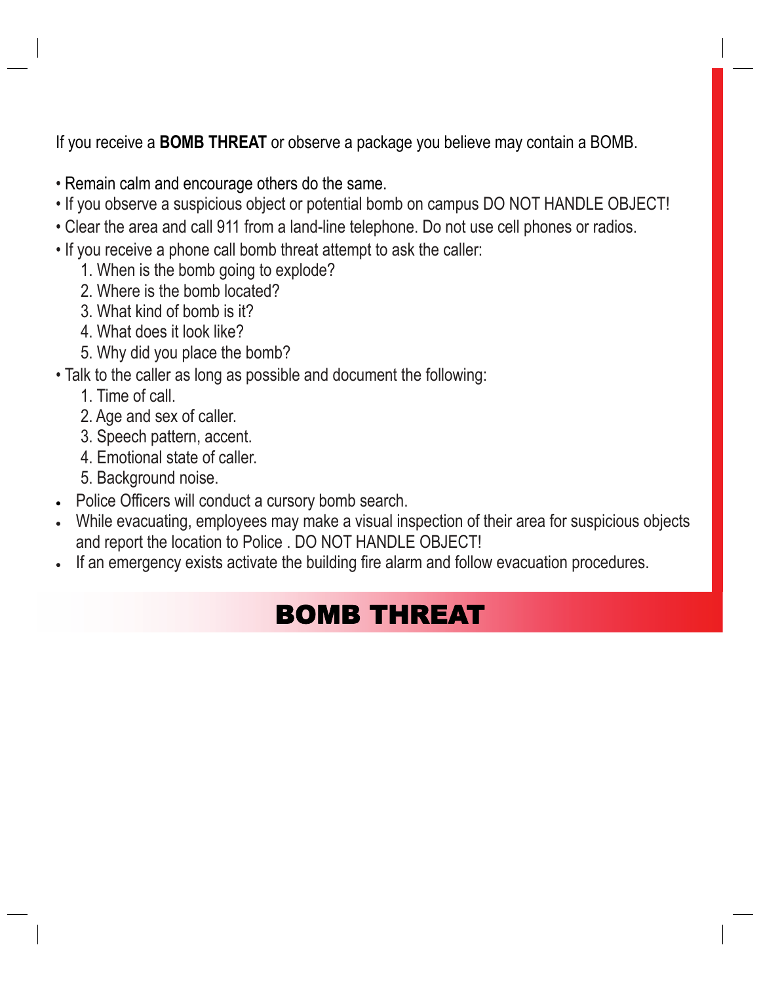If you receive a **BOMB THREAT** or observe a package you believe may contain a BOMB.

- Remain calm and encourage others do the same.
- If you observe a suspicious object or potential bomb on campus DO NOT HANDLE OBJECT!
- Clear the area and call 911 from a land-line telephone. Do not use cell phones or radios.
- If you receive a phone call bomb threat attempt to ask the caller:
	- 1. When is the bomb going to explode?
	- 2. Where is the bomb located?
	- 3. What kind of bomb is it?
	- 4. What does it look like?
	- 5. Why did you place the bomb?
- Talk to the caller as long as possible and document the following:
	- 1. Time of call.
	- 2. Age and sex of caller.
	- 3. Speech pattern, accent.
	- 4. Emotional state of caller.
	- 5. Background noise.
- Police Officers will conduct a cursory bomb search.
- While evacuating, employees may make a visual inspection of their area for suspicious objects and report the location to Police . DO NOT HANDLE OBJECT!
- If an emergency exists activate the building fire alarm and follow evacuation procedures.

### BOMB THREAT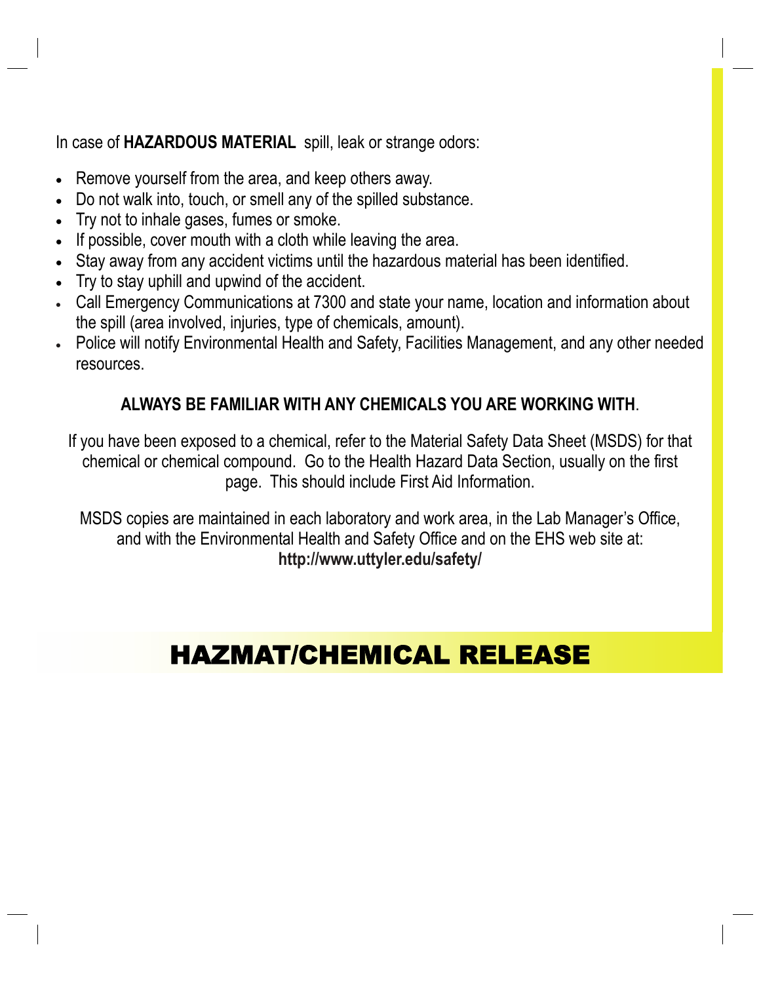In case of **HAZARDOUS MATERIAL** spill, leak or strange odors:

- Remove yourself from the area, and keep others away.
- Do not walk into, touch, or smell any of the spilled substance.
- Try not to inhale gases, fumes or smoke.
- If possible, cover mouth with a cloth while leaving the area.
- Stay away from any accident victims until the hazardous material has been identified.
- Try to stay uphill and upwind of the accident.
- Call Emergency Communications at 7300 and state your name, location and information about the spill (area involved, injuries, type of chemicals, amount).
- Police will notify Environmental Health and Safety, Facilities Management, and any other needed resources.

#### **ALWAYS BE FAMILIAR WITH ANY CHEMICALS YOU ARE WORKING WITH**.

If you have been exposed to a chemical, refer to the Material Safety Data Sheet (MSDS) for that chemical or chemical compound. Go to the Health Hazard Data Section, usually on the first page. This should include First Aid Information.

MSDS copies are maintained in each laboratory and work area, in the Lab Manager's Office, and with the Environmental Health and Safety Office and on the EHS web site at: **http://www.uttyler.edu/safety/** 

### HAZMAT/CHEMICAL RELEASE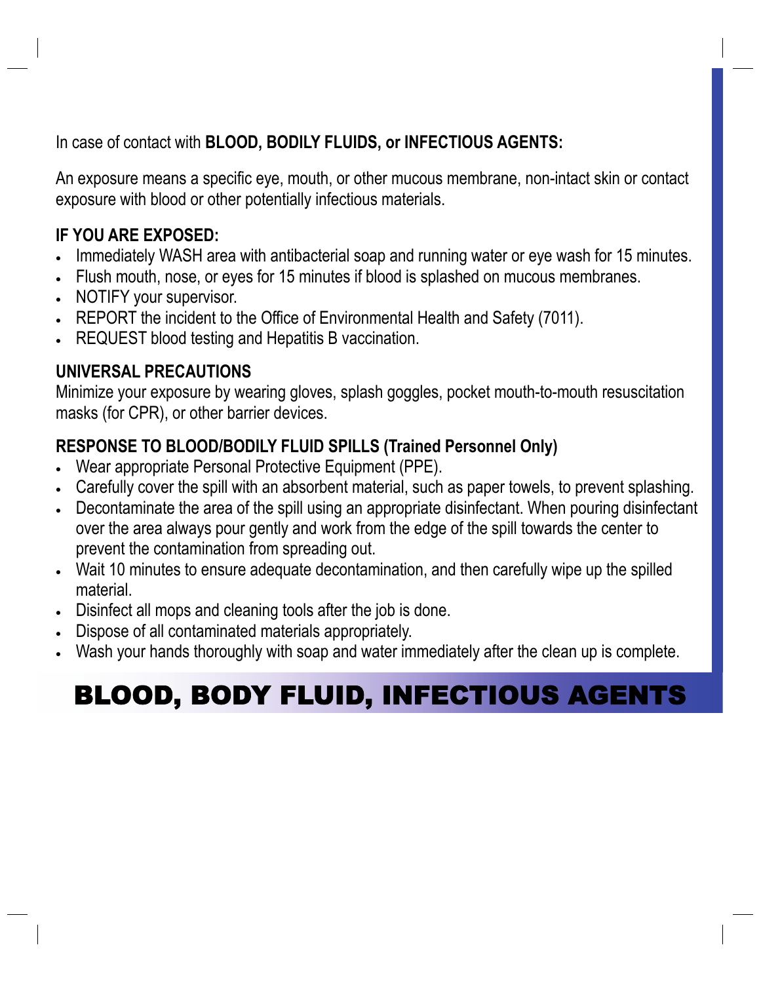In case of contact with **BLOOD, BODILY FLUIDS, or INFECTIOUS AGENTS:**

An exposure means a specific eye, mouth, or other mucous membrane, non-intact skin or contact exposure with blood or other potentially infectious materials.

#### **IF YOU ARE EXPOSED:**

- Immediately WASH area with antibacterial soap and running water or eye wash for 15 minutes.
- Flush mouth, nose, or eyes for 15 minutes if blood is splashed on mucous membranes.
- NOTIFY your supervisor.
- REPORT the incident to the Office of Environmental Health and Safety (7011).
- REQUEST blood testing and Hepatitis B vaccination.

#### **UNIVERSAL PRECAUTIONS**

Minimize your exposure by wearing gloves, splash goggles, pocket mouth-to-mouth resuscitation masks (for CPR), or other barrier devices.

#### **RESPONSE TO BLOOD/BODILY FLUID SPILLS (Trained Personnel Only)**

- Wear appropriate Personal Protective Equipment (PPE).
- Carefully cover the spill with an absorbent material, such as paper towels, to prevent splashing.
- Decontaminate the area of the spill using an appropriate disinfectant. When pouring disinfectant over the area always pour gently and work from the edge of the spill towards the center to prevent the contamination from spreading out.
- Wait 10 minutes to ensure adequate decontamination, and then carefully wipe up the spilled material.
- Disinfect all mops and cleaning tools after the job is done.
- Dispose of all contaminated materials appropriately.
- Wash your hands thoroughly with soap and water immediately after the clean up is complete.

## BLOOD, BODY FLUID, INFECTIOUS AGENTS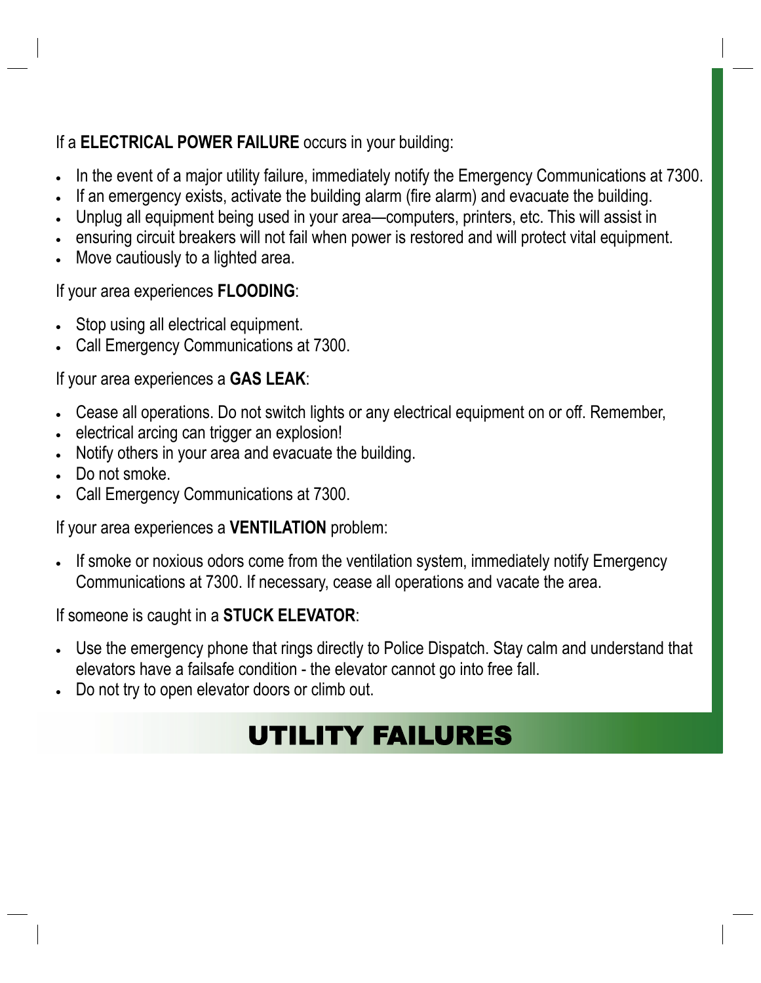#### If a **ELECTRICAL POWER FAILURE** occurs in your building:

- In the event of a major utility failure, immediately notify the Emergency Communications at 7300.
- If an emergency exists, activate the building alarm (fire alarm) and evacuate the building.
- Unplug all equipment being used in your area—computers, printers, etc. This will assist in
- ensuring circuit breakers will not fail when power is restored and will protect vital equipment.
- Move cautiously to a lighted area.

#### If your area experiences **FLOODING**:

- Stop using all electrical equipment.
- Call Emergency Communications at 7300.

#### If your area experiences a **GAS LEAK**:

- Cease all operations. Do not switch lights or any electrical equipment on or off. Remember,
- electrical arcing can trigger an explosion!
- Notify others in your area and evacuate the building.
- Do not smoke.
- Call Emergency Communications at 7300.

#### If your area experiences a **VENTILATION** problem:

• If smoke or noxious odors come from the ventilation system, immediately notify Emergency Communications at 7300. If necessary, cease all operations and vacate the area.

#### If someone is caught in a **STUCK ELEVATOR**:

- Use the emergency phone that rings directly to Police Dispatch. Stay calm and understand that elevators have a failsafe condition - the elevator cannot go into free fall.
- Do not try to open elevator doors or climb out.

### UTILITY FAILURES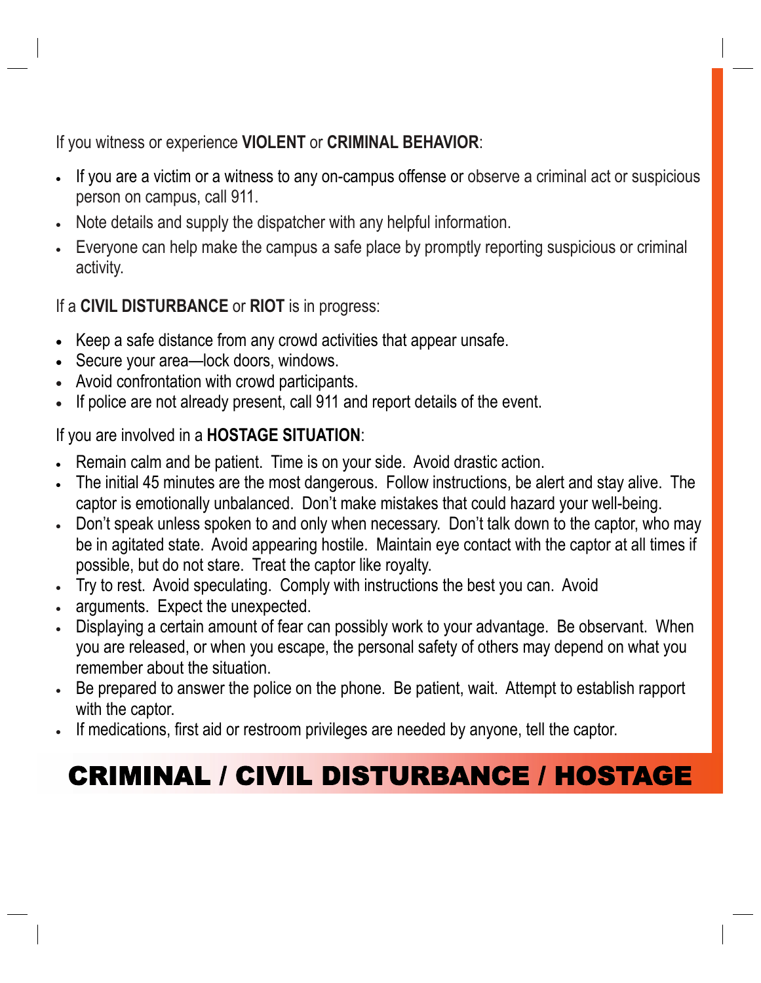If you witness or experience **VIOLENT** or **CRIMINAL BEHAVIOR**:

- If you are a victim or a witness to any on-campus offense or observe a criminal act or suspicious person on campus, call 911.
- Note details and supply the dispatcher with any helpful information.
- Everyone can help make the campus a safe place by promptly reporting suspicious or criminal activity.

If a **CIVIL DISTURBANCE** or **RIOT** is in progress:

- Keep a safe distance from any crowd activities that appear unsafe.
- Secure your area—lock doors, windows.
- Avoid confrontation with crowd participants.
- If police are not already present, call 911 and report details of the event.

#### If you are involved in a **HOSTAGE SITUATION**:

- Remain calm and be patient. Time is on your side. Avoid drastic action.
- The initial 45 minutes are the most dangerous. Follow instructions, be alert and stay alive. The captor is emotionally unbalanced. Don't make mistakes that could hazard your well-being.
- Don't speak unless spoken to and only when necessary. Don't talk down to the captor, who may be in agitated state. Avoid appearing hostile. Maintain eye contact with the captor at all times if possible, but do not stare. Treat the captor like royalty.
- Try to rest. Avoid speculating. Comply with instructions the best you can. Avoid
- arguments. Expect the unexpected.
- Displaying a certain amount of fear can possibly work to your advantage. Be observant. When you are released, or when you escape, the personal safety of others may depend on what you remember about the situation.
- Be prepared to answer the police on the phone. Be patient, wait. Attempt to establish rapport with the captor.
- If medications, first aid or restroom privileges are needed by anyone, tell the captor.

### CRIMINAL / CIVIL DISTURBANCE / HOSTAGE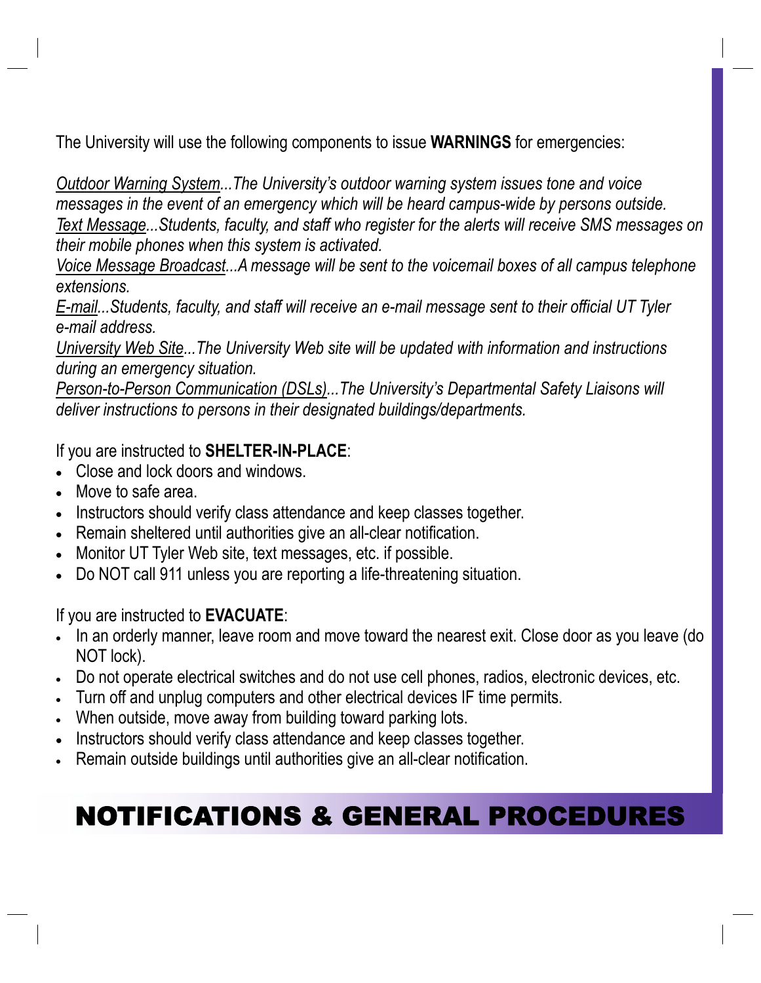The University will use the following components to issue **WARNINGS** for emergencies:

*Outdoor Warning System...The University's outdoor warning system issues tone and voice messages in the event of an emergency which will be heard campus-wide by persons outside. Text Message...Students, faculty, and staff who register for the alerts will receive SMS messages on their mobile phones when this system is activated.* 

*Voice Message Broadcast...A message will be sent to the voicemail boxes of all campus telephone extensions.* 

*E-mail...Students, faculty, and staff will receive an e-mail message sent to their official UT Tyler e-mail address.* 

*University Web Site...The University Web site will be updated with information and instructions during an emergency situation.* 

*Person-to-Person Communication (DSLs)...The University's Departmental Safety Liaisons will deliver instructions to persons in their designated buildings/departments.* 

If you are instructed to **SHELTER-IN-PLACE**:

- Close and lock doors and windows.
- Move to safe area.
- Instructors should verify class attendance and keep classes together.
- Remain sheltered until authorities give an all-clear notification.
- Monitor UT Tyler Web site, text messages, etc. if possible.
- Do NOT call 911 unless you are reporting a life-threatening situation.

If you are instructed to **EVACUATE**:

- In an orderly manner, leave room and move toward the nearest exit. Close door as you leave (do NOT lock).
- Do not operate electrical switches and do not use cell phones, radios, electronic devices, etc.
- Turn off and unplug computers and other electrical devices IF time permits.
- When outside, move away from building toward parking lots.
- Instructors should verify class attendance and keep classes together.
- Remain outside buildings until authorities give an all-clear notification.

## NOTIFICATIONS & GENERAL PROCEDURES